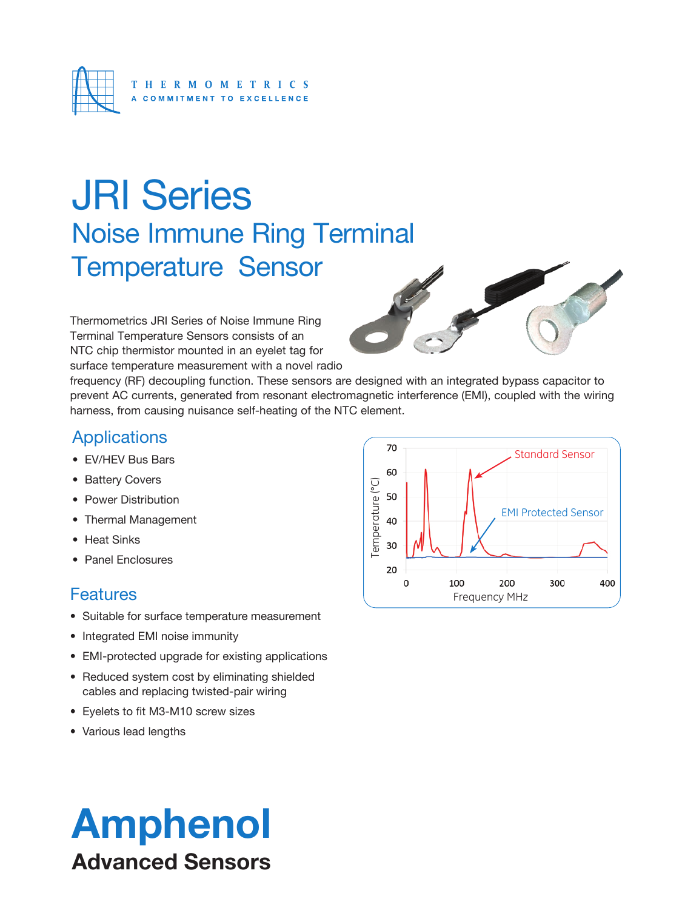

# JRI Series Noise Immune Ring Terminal Temperature Sensor

Thermometrics JRI Series of Noise Immune Ring Terminal Temperature Sensors consists of an NTC chip thermistor mounted in an eyelet tag for surface temperature measurement with a novel radio



frequency (RF) decoupling function. These sensors are designed with an integrated bypass capacitor to prevent AC currents, generated from resonant electromagnetic interference (EMI), coupled with the wiring harness, from causing nuisance self-heating of the NTC element.

## **Applications**

- EV/HEV Bus Bars
- Battery Covers
- Power Distribution
- Thermal Management
- Heat Sinks
- Panel Enclosures

### **Features**

- Suitable for surface temperature measurement
- Integrated EMI noise immunity
- EMI-protected upgrade for existing applications
- Reduced system cost by eliminating shielded cables and replacing twisted-pair wiring
- Eyelets to fit M3-M10 screw sizes
- Various lead lengths



# Amphenol Advanced Sensors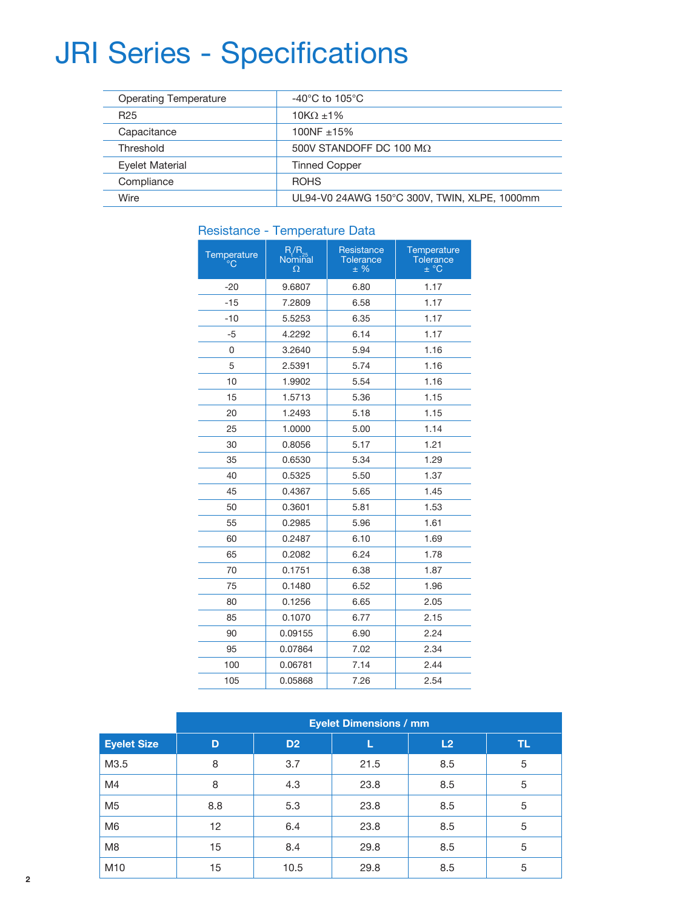## JRI Series - Specifications

| <b>Operating Temperature</b> | $-40^{\circ}$ C to 105 $^{\circ}$ C          |  |  |
|------------------------------|----------------------------------------------|--|--|
| R <sub>25</sub>              | $10K\Omega$ ±1%                              |  |  |
| Capacitance                  | 100NF ±15%                                   |  |  |
| Threshold                    | 500V STANDOFF DC 100 M $\Omega$              |  |  |
| Eyelet Material              | <b>Tinned Copper</b>                         |  |  |
| Compliance                   | <b>ROHS</b>                                  |  |  |
| Wire                         | UL94-V0 24AWG 150°C 300V, TWIN, XLPE, 1000mm |  |  |

| י ושטוטנעו וטט    | <b>TUTTPULATURE</b> |                                         |                                             |  |  |  |
|-------------------|---------------------|-----------------------------------------|---------------------------------------------|--|--|--|
| Temperature<br>°С | R/R<br>Nominal<br>Ω | Resistance<br><b>Tolerance</b><br>$±$ % | Temperature<br><b>Tolerance</b><br>$\pm$ °C |  |  |  |
| $-20$             | 9.6807              | 6.80                                    | 1.17                                        |  |  |  |
| $-15$             | 7.2809              | 6.58                                    | 1.17                                        |  |  |  |
| $-10$             | 5.5253              | 6.35                                    | 1.17                                        |  |  |  |
| -5                | 4.2292              | 6.14                                    | 1.17                                        |  |  |  |
| 0                 | 3.2640              | 5.94                                    | 1.16                                        |  |  |  |
| 5                 | 2.5391              | 5.74                                    | 1.16                                        |  |  |  |
| 10                | 1.9902              | 5.54                                    | 1.16                                        |  |  |  |
| 15                | 1.5713              | 5.36                                    | 1.15                                        |  |  |  |
| 20                | 1.2493              | 5.18                                    | 1.15                                        |  |  |  |
| 25                | 1.0000              | 5.00                                    | 1.14                                        |  |  |  |
| 30                | 0.8056              | 5.17                                    | 1.21                                        |  |  |  |
| 35                | 0.6530              | 5.34                                    | 1.29                                        |  |  |  |
| 40                | 0.5325              | 5.50                                    | 1.37                                        |  |  |  |
| 45                | 0.4367              | 5.65                                    | 1.45                                        |  |  |  |
| 50                | 0.3601              | 5.81                                    | 1.53                                        |  |  |  |
| 55                | 0.2985              | 5.96                                    | 1.61                                        |  |  |  |
| 60                | 0.2487              | 6.10                                    | 1.69                                        |  |  |  |
| 65                | 0.2082              | 6.24                                    | 1.78                                        |  |  |  |
| 70                | 0.1751              | 6.38                                    | 1.87                                        |  |  |  |
| 75                | 0.1480              | 6.52                                    | 1.96                                        |  |  |  |
| 80                | 0.1256              | 6.65                                    | 2.05                                        |  |  |  |
| 85                | 0.1070              | 6.77                                    | 2.15                                        |  |  |  |
| 90                | 0.09155             | 6.90                                    | 2.24                                        |  |  |  |
| 95                | 0.07864             | 7.02                                    | 2.34                                        |  |  |  |
| 100               | 0.06781             | 7.14                                    | 2.44                                        |  |  |  |
| 105               | 0.05868             | 7.26                                    | 2.54                                        |  |  |  |

#### Resistance - Temperature Data

|                    | <b>Eyelet Dimensions / mm</b> |                |      |     |     |  |
|--------------------|-------------------------------|----------------|------|-----|-----|--|
| <b>Eyelet Size</b> | D                             | D <sub>2</sub> |      | L2  | TL. |  |
| M3.5               | 8                             | 3.7            | 21.5 | 8.5 | 5   |  |
| M <sub>4</sub>     | 8                             | 4.3            | 23.8 | 8.5 | 5   |  |
| M <sub>5</sub>     | 8.8                           | 5.3            | 23.8 | 8.5 | 5   |  |
| M <sub>6</sub>     | $12 \overline{ }$             | 6.4            | 23.8 | 8.5 | 5   |  |
| M <sub>8</sub>     | 15                            | 8.4            | 29.8 | 8.5 | 5   |  |
| M <sub>10</sub>    | 15                            | 10.5           | 29.8 | 8.5 | 5   |  |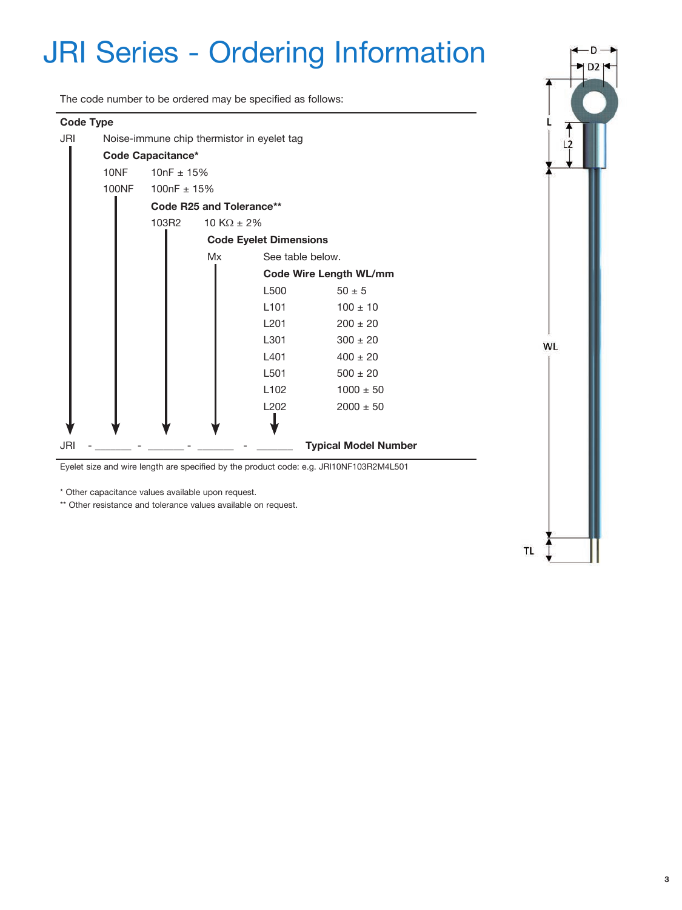## JRI Series - Ordering Information

The code number to be ordered may be specified as follows:



\*\* Other resistance and tolerance values available on request.

TL.